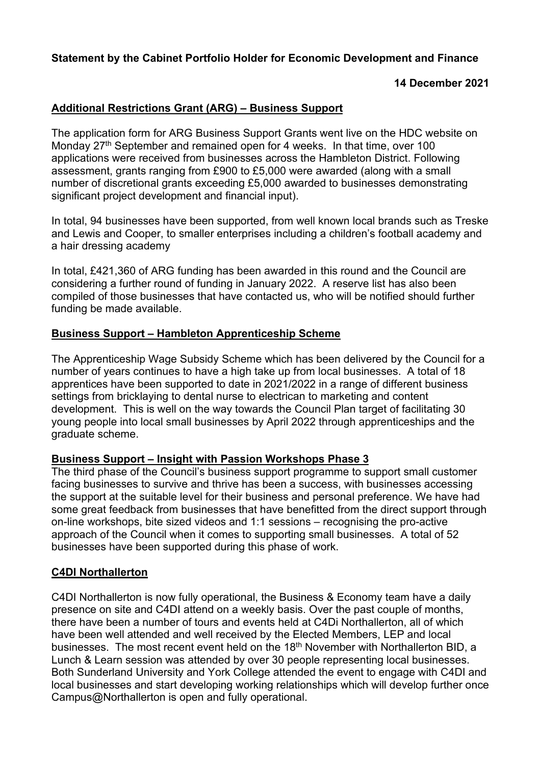# **Statement by the Cabinet Portfolio Holder for Economic Development and Finance**

## **14 December 2021**

## **Additional Restrictions Grant (ARG) – Business Support**

The application form for ARG Business Support Grants went live on the HDC website on Monday 27<sup>th</sup> September and remained open for 4 weeks. In that time, over 100 applications were received from businesses across the Hambleton District. Following assessment, grants ranging from £900 to £5,000 were awarded (along with a small number of discretional grants exceeding £5,000 awarded to businesses demonstrating significant project development and financial input).

In total, 94 businesses have been supported, from well known local brands such as Treske and Lewis and Cooper, to smaller enterprises including a children's football academy and a hair dressing academy

In total, £421,360 of ARG funding has been awarded in this round and the Council are considering a further round of funding in January 2022. A reserve list has also been compiled of those businesses that have contacted us, who will be notified should further funding be made available.

### **Business Support – Hambleton Apprenticeship Scheme**

The Apprenticeship Wage Subsidy Scheme which has been delivered by the Council for a number of years continues to have a high take up from local businesses. A total of 18 apprentices have been supported to date in 2021/2022 in a range of different business settings from bricklaying to dental nurse to electrican to marketing and content development. This is well on the way towards the Council Plan target of facilitating 30 young people into local small businesses by April 2022 through apprenticeships and the graduate scheme.

#### **Business Support – Insight with Passion Workshops Phase 3**

The third phase of the Council's business support programme to support small customer facing businesses to survive and thrive has been a success, with businesses accessing the support at the suitable level for their business and personal preference. We have had some great feedback from businesses that have benefitted from the direct support through on-line workshops, bite sized videos and 1:1 sessions – recognising the pro-active approach of the Council when it comes to supporting small businesses. A total of 52 businesses have been supported during this phase of work.

### **C4DI Northallerton**

C4DI Northallerton is now fully operational, the Business & Economy team have a daily presence on site and C4DI attend on a weekly basis. Over the past couple of months, there have been a number of tours and events held at C4Di Northallerton, all of which have been well attended and well received by the Elected Members, LEP and local businesses. The most recent event held on the 18<sup>th</sup> November with Northallerton BID, a Lunch & Learn session was attended by over 30 people representing local businesses. Both Sunderland University and York College attended the event to engage with C4DI and local businesses and start developing working relationships which will develop further once Campus@Northallerton is open and fully operational.